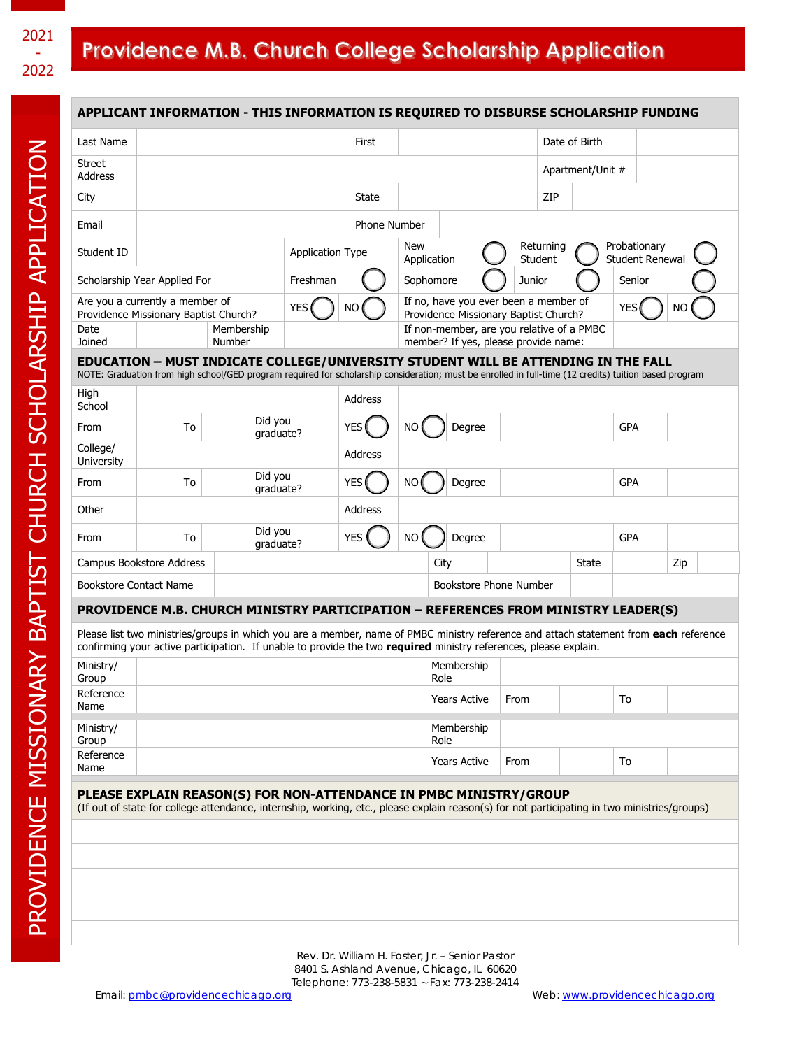# 2021 - 2022

# Providence M.B. Church College Scholarship Application

| APPLICANT INFORMATION - THIS INFORMATION IS REQUIRED TO DISBURSE SCHOLARSHIP FUNDING                                                                                                                                                                      |                          |    |  |                      |            |                                                    |                     |                        |                                                                                   |                                       |                             |                                        |               |    |            |     |  |  |
|-----------------------------------------------------------------------------------------------------------------------------------------------------------------------------------------------------------------------------------------------------------|--------------------------|----|--|----------------------|------------|----------------------------------------------------|---------------------|------------------------|-----------------------------------------------------------------------------------|---------------------------------------|-----------------------------|----------------------------------------|---------------|----|------------|-----|--|--|
| Last Name                                                                                                                                                                                                                                                 |                          |    |  |                      |            |                                                    | First               |                        |                                                                                   |                                       |                             |                                        | Date of Birth |    |            |     |  |  |
| <b>Street</b><br>Address                                                                                                                                                                                                                                  |                          |    |  |                      |            |                                                    |                     |                        |                                                                                   |                                       |                             | Apartment/Unit #                       |               |    |            |     |  |  |
| City                                                                                                                                                                                                                                                      |                          |    |  |                      |            | State                                              |                     |                        |                                                                                   | ZIP                                   |                             |                                        |               |    |            |     |  |  |
| Email                                                                                                                                                                                                                                                     |                          |    |  |                      |            |                                                    | <b>Phone Number</b> |                        |                                                                                   |                                       |                             |                                        |               |    |            |     |  |  |
| Student ID                                                                                                                                                                                                                                                | <b>Application Type</b>  |    |  |                      | <b>New</b> |                                                    |                     | Application            |                                                                                   |                                       | Returning<br><b>Student</b> | Probationary<br><b>Student Renewal</b> |               |    |            |     |  |  |
| Scholarship Year Applied For                                                                                                                                                                                                                              |                          |    |  | Freshman             |            |                                                    | Sophomore           |                        |                                                                                   |                                       | Junior                      |                                        | Senior        |    |            |     |  |  |
| Are you a currently a member of<br><b>YES</b><br>Providence Missionary Baptist Church?                                                                                                                                                                    |                          |    |  |                      |            | <b>NO</b><br>Providence Missionary Baptist Church? |                     |                        |                                                                                   | If no, have you ever been a member of |                             |                                        | <b>YES</b>    |    | <b>NO</b>  |     |  |  |
| Date<br>Joined                                                                                                                                                                                                                                            | Membership<br>Number     |    |  |                      |            |                                                    |                     |                        | If non-member, are you relative of a PMBC<br>member? If yes, please provide name: |                                       |                             |                                        |               |    |            |     |  |  |
| EDUCATION - MUST INDICATE COLLEGE/UNIVERSITY STUDENT WILL BE ATTENDING IN THE FALL<br>NOTE: Graduation from high school/GED program required for scholarship consideration; must be enrolled in full-time (12 credits) tuition based program              |                          |    |  |                      |            |                                                    |                     |                        |                                                                                   |                                       |                             |                                        |               |    |            |     |  |  |
| High<br>School                                                                                                                                                                                                                                            |                          |    |  |                      | Address    |                                                    |                     |                        |                                                                                   |                                       |                             |                                        |               |    |            |     |  |  |
| From                                                                                                                                                                                                                                                      |                          | To |  | Did you<br>qraduate? |            |                                                    | <b>YES</b>          | <b>NO</b>              |                                                                                   | Degree                                |                             |                                        |               |    | <b>GPA</b> |     |  |  |
| College/<br>University                                                                                                                                                                                                                                    |                          |    |  |                      |            |                                                    | Address             |                        |                                                                                   |                                       |                             |                                        |               |    |            |     |  |  |
| From                                                                                                                                                                                                                                                      |                          | To |  | Did you<br>qraduate? |            |                                                    | <b>YES</b>          | <b>NO</b>              |                                                                                   | Degree                                |                             |                                        |               |    | <b>GPA</b> |     |  |  |
| Other                                                                                                                                                                                                                                                     |                          |    |  |                      |            | Address                                            |                     |                        |                                                                                   |                                       |                             |                                        |               |    |            |     |  |  |
| From                                                                                                                                                                                                                                                      |                          | To |  | Did you<br>qraduate? |            |                                                    | <b>YES</b>          | <b>NO</b>              |                                                                                   | Degree                                |                             |                                        |               |    | <b>GPA</b> |     |  |  |
|                                                                                                                                                                                                                                                           | Campus Bookstore Address |    |  |                      |            |                                                    | City                |                        |                                                                                   |                                       |                             |                                        | <b>State</b>  |    |            | Zip |  |  |
| <b>Bookstore Contact Name</b>                                                                                                                                                                                                                             |                          |    |  |                      |            |                                                    |                     | Bookstore Phone Number |                                                                                   |                                       |                             |                                        |               |    |            |     |  |  |
| PROVIDENCE M.B. CHURCH MINISTRY PARTICIPATION - REFERENCES FROM MINISTRY LEADER(S)                                                                                                                                                                        |                          |    |  |                      |            |                                                    |                     |                        |                                                                                   |                                       |                             |                                        |               |    |            |     |  |  |
| Please list two ministries/groups in which you are a member, name of PMBC ministry reference and attach statement from each reference<br>confirming your active participation. If unable to provide the two required ministry references, please explain. |                          |    |  |                      |            |                                                    |                     |                        |                                                                                   |                                       |                             |                                        |               |    |            |     |  |  |
| Ministry/<br>Group                                                                                                                                                                                                                                        |                          |    |  |                      |            |                                                    | Membership<br>Role  |                        |                                                                                   |                                       |                             |                                        |               |    |            |     |  |  |
| Reference<br>Name                                                                                                                                                                                                                                         |                          |    |  |                      |            | <b>Years Active</b>                                |                     |                        | From                                                                              |                                       |                             | To                                     |               |    |            |     |  |  |
| Ministry/<br>Group                                                                                                                                                                                                                                        |                          |    |  |                      |            |                                                    |                     |                        | Role                                                                              | Membership                            |                             |                                        |               |    |            |     |  |  |
| Reference<br>Name                                                                                                                                                                                                                                         |                          |    |  |                      |            |                                                    |                     |                        | <b>Years Active</b>                                                               |                                       | From                        |                                        |               | To |            |     |  |  |
| PLEASE EXPLAIN REASON(S) FOR NON-ATTENDANCE IN PMBC MINISTRY/GROUP                                                                                                                                                                                        |                          |    |  |                      |            |                                                    |                     |                        |                                                                                   |                                       |                             |                                        |               |    |            |     |  |  |
| (If out of state for college attendance, internship, working, etc., please explain reason(s) for not participating in two ministries/groups)                                                                                                              |                          |    |  |                      |            |                                                    |                     |                        |                                                                                   |                                       |                             |                                        |               |    |            |     |  |  |
|                                                                                                                                                                                                                                                           |                          |    |  |                      |            |                                                    |                     |                        |                                                                                   |                                       |                             |                                        |               |    |            |     |  |  |
|                                                                                                                                                                                                                                                           |                          |    |  |                      |            |                                                    |                     |                        |                                                                                   |                                       |                             |                                        |               |    |            |     |  |  |
|                                                                                                                                                                                                                                                           |                          |    |  |                      |            |                                                    |                     |                        |                                                                                   |                                       |                             |                                        |               |    |            |     |  |  |
|                                                                                                                                                                                                                                                           |                          |    |  |                      |            |                                                    |                     |                        |                                                                                   |                                       |                             |                                        |               |    |            |     |  |  |
|                                                                                                                                                                                                                                                           |                          |    |  |                      |            |                                                    |                     |                        |                                                                                   |                                       |                             |                                        |               |    |            |     |  |  |

Rev. Dr. William H. Foster, Jr. – Senior Pastor 8401 S. Ashland Avenue, Chicago, IL 60620 Telephone: 773-238-5831 ~ Fax: 773-238-2414